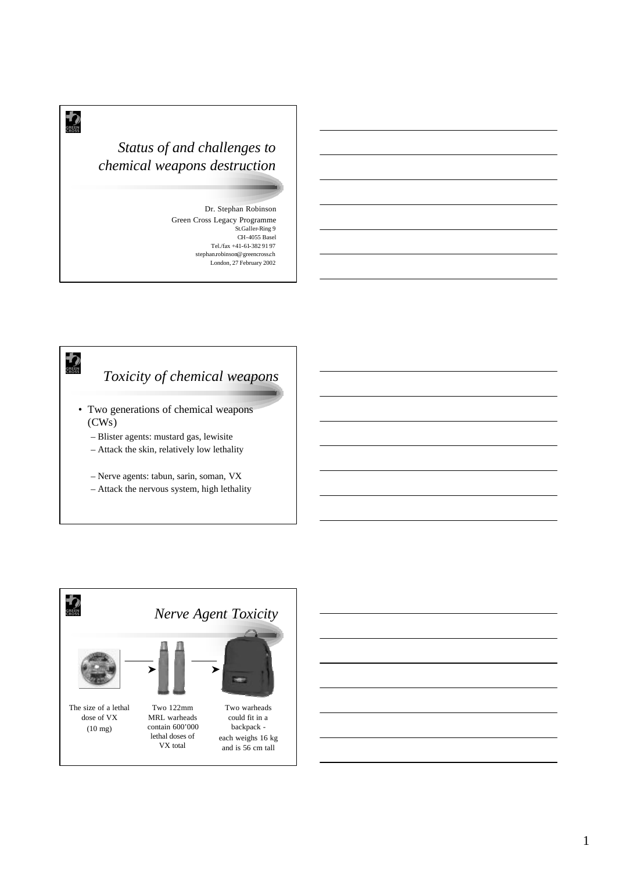### *Status of and challenges to chemical weapons destruction*

 $\bigstar$ 

**EREEN** 

Dr. Stephan Robinson Green Cross Legacy Programme St.Galler-Ring 9 CH-4055 Basel Tel./fax +41-61-382 91 97 stephan.robinson@greencross.ch London, 27 February 2002

# *Toxicity of chemical weapons*

- Two generations of chemical weapons (CWs)
	- Blister agents: mustard gas, lewisite
	- Attack the skin, relatively low lethality
	- Nerve agents: tabun, sarin, soman, VX
	- Attack the nervous system, high lethality

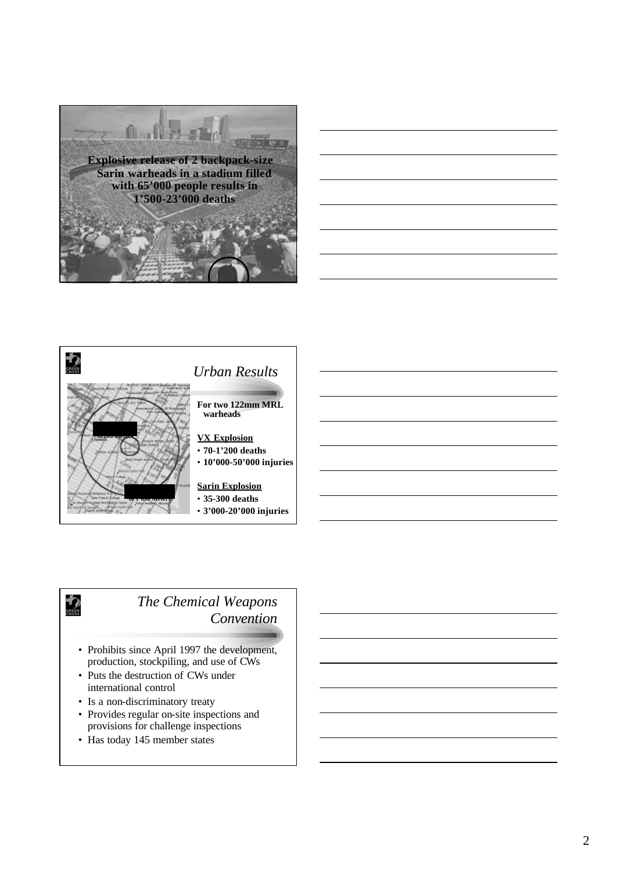







**EREEN** 

*The Chemical Weapons Convention*

- Prohibits since April 1997 the development, production, stockpiling, and use of CWs
- Puts the destruction of CWs under international control
- Is a non-discriminatory treaty
- Provides regular on-site inspections and provisions for challenge inspections
- Has today 145 member states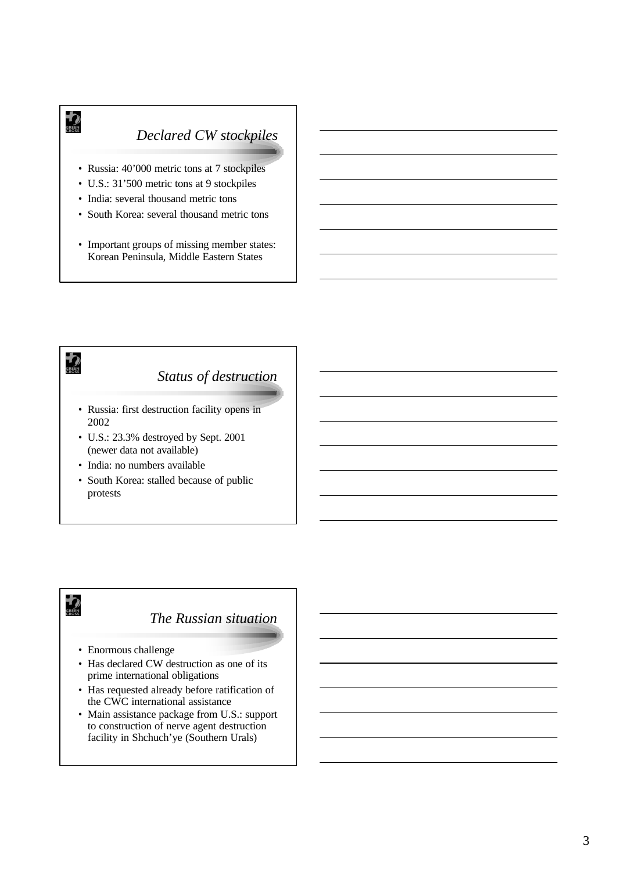## *Declared CW stockpiles*

- Russia: 40'000 metric tons at 7 stockpiles
- U.S.: 31'500 metric tons at 9 stockpiles
- India: several thousand metric tons

 $\bigoplus_{\substack{\text{GREIN}\ \text{CROSS}}}$ 

- South Korea: several thousand metric tons
- Important groups of missing member states: Korean Peninsula, Middle Eastern States



## $\biguparrow$ *The Russian situation* • Enormous challenge • Has declared CW destruction as one of its prime international obligations • Has requested already before ratification of the CWC international assistance • Main assistance package from U.S.: support

to construction of nerve agent destruction facility in Shchuch'ye (Southern Urals)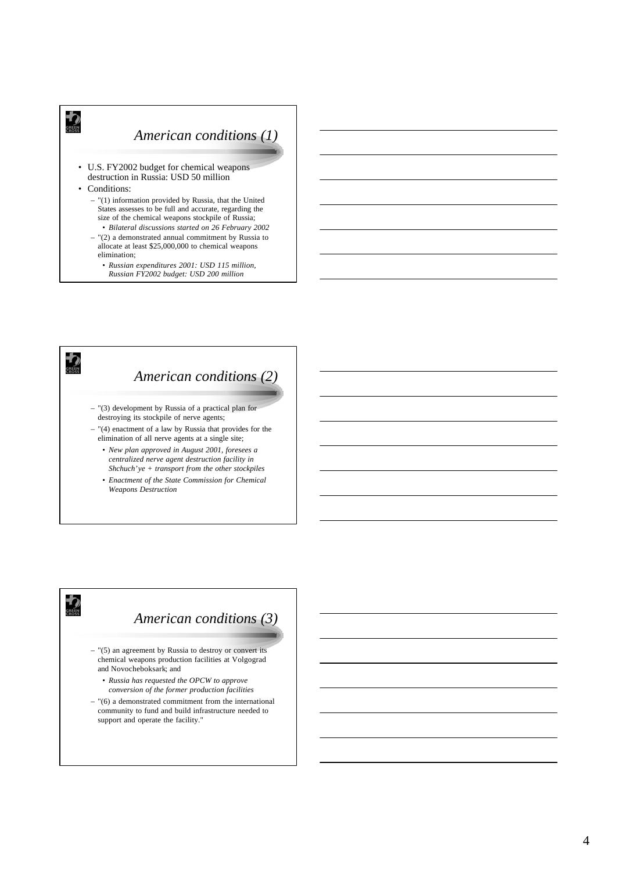#### *American conditions (1)*

- U.S. FY2002 budget for chemical weapons destruction in Russia: USD 50 million
- Conditions:

**ED** 

- "(1) information provided by Russia, that the United States assesses to be full and accurate, regarding the size of the chemical weapons stockpile of Russia;
- *Bilateral discussions started on 26 February 2002* – "(2) a demonstrated annual commitment by Russia to allocate at least \$25,000,000 to chemical weapons elimination;
	- *Russian expenditures 2001: USD 115 million, Russian FY2002 budget: USD 200 million*



#### $\bigtriangledown$ *American conditions (3)*  $-$  "(5) an agreement by Russia to destroy or convert its chemical weapons production facilities at Volgograd and Novocheboksark; and • *Russia has requested the OPCW to approve conversion of the former production facilities*  – "(6) a demonstrated commitment from the international community to fund and build infrastructure needed to support and operate the facility."